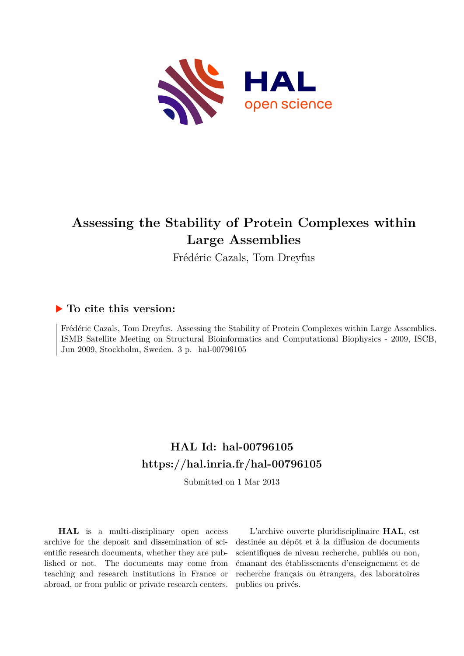

# **Assessing the Stability of Protein Complexes within Large Assemblies**

Frédéric Cazals, Tom Dreyfus

## **To cite this version:**

Frédéric Cazals, Tom Dreyfus. Assessing the Stability of Protein Complexes within Large Assemblies. ISMB Satellite Meeting on Structural Bioinformatics and Computational Biophysics - 2009, ISCB, Jun 2009, Stockholm, Sweden. 3 p. hal-00796105

# **HAL Id: hal-00796105 <https://hal.inria.fr/hal-00796105>**

Submitted on 1 Mar 2013

**HAL** is a multi-disciplinary open access archive for the deposit and dissemination of scientific research documents, whether they are published or not. The documents may come from teaching and research institutions in France or abroad, or from public or private research centers.

L'archive ouverte pluridisciplinaire **HAL**, est destinée au dépôt et à la diffusion de documents scientifiques de niveau recherche, publiés ou non, émanant des établissements d'enseignement et de recherche français ou étrangers, des laboratoires publics ou privés.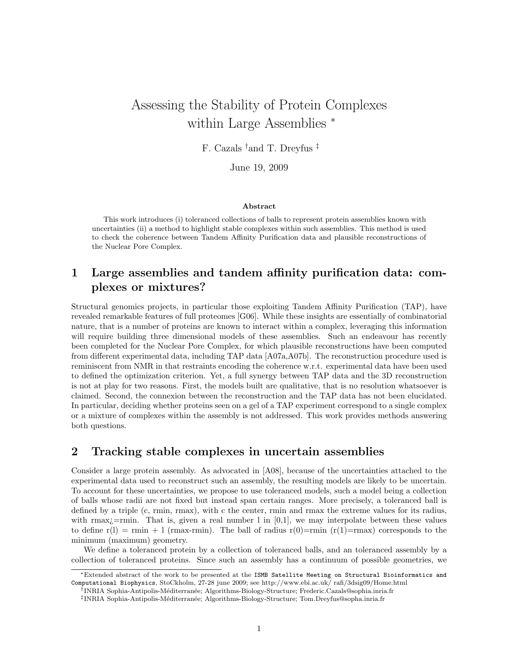# Assessing the Stability of Protein Complexes within Large Assemblies <sup>∗</sup>

F. Cazals †and T. Dreyfus ‡

June 19, 2009

#### Abstract

This work introduces (i) toleranced collections of balls to represent protein assemblies known with uncertainties (ii) a method to highlight stable complexes within such assemblies. This method is used to check the coherence between Tandem Affinity Purification data and plausible reconstructions of the Nuclear Pore Complex.

### 1 Large assemblies and tandem affinity purification data: complexes or mixtures?

Structural genomics projects, in particular those exploiting Tandem Affinity Purification (TAP), have revealed remarkable features of full proteomes [G06]. While these insights are essentially of combinatorial nature, that is a number of proteins are known to interact within a complex, leveraging this information will require building three dimensional models of these assemblies. Such an endeavour has recently been completed for the Nuclear Pore Complex, for which plausible reconstructions have been computed from different experimental data, including TAP data [A07a,A07b]. The reconstruction procedure used is reminiscent from NMR in that restraints encoding the coherence w.r.t. experimental data have been used to defined the optimization criterion. Yet, a full synergy between TAP data and the 3D reconstruction is not at play for two reasons. First, the models built are qualitative, that is no resolution whatsoever is claimed. Second, the connexion between the reconstruction and the TAP data has not been elucidated. In particular, deciding whether proteins seen on a gel of a TAP experiment correspond to a single complex or a mixture of complexes within the assembly is not addressed. This work provides methods answering both questions.

### 2 Tracking stable complexes in uncertain assemblies

Consider a large protein assembly. As advocated in [A08], because of the uncertainties attached to the experimental data used to reconstruct such an assembly, the resulting models are likely to be uncertain. To account for these uncertainties, we propose to use toleranced models, such a model being a collection of balls whose radii are not fixed but instead span certain ranges. More precisely, a toleranced ball is defined by a triple (c, rmin, rmax), with c the center, rmin and rmax the extreme values for its radius, with rmax $i$ =rmin. That is, given a real number l in [0,1], we may interpolate between these values to define  $r(1) = rmin + 1$  (rmax-rmin). The ball of radius  $r(0)=rmin (r(1)=rmax)$  corresponds to the minimum (maximum) geometry.

We define a toleranced protein by a collection of toleranced balls, and an toleranced assembly by a collection of toleranced proteins. Since such an assembly has a continuum of possible geometries, we

<sup>∗</sup>Extended abstract of the work to be presented at the ISMB Satellite Meeting on Structural Bioinformatics and Computational Biophysics, StoCkholm, 27-28 june 2009; see http://www.ebi.ac.uk/ rafi/3dsig09/Home.html

<sup>†</sup> INRIA Sophia-Antipolis-M´editerran´ee; Algorithms-Biology-Structure; Frederic.Cazals@sophia.inria.fr

<sup>‡</sup> INRIA Sophia-Antipolis-M´editerran´ee; Algorithms-Biology-Structure; Tom.Dreyfus@sopha.inria.fr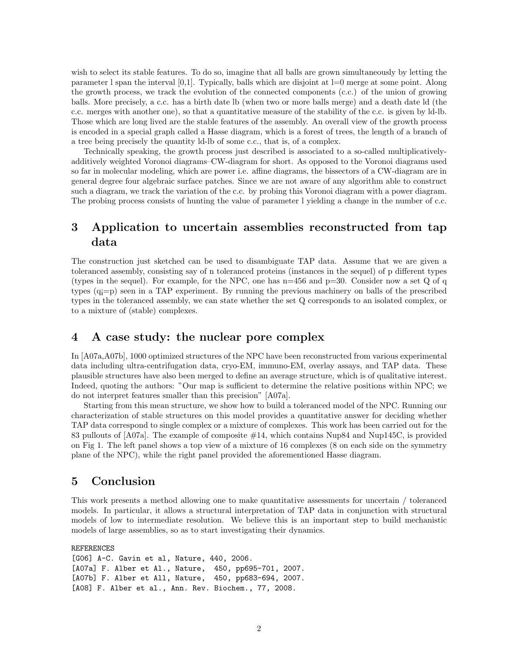wish to select its stable features. To do so, imagine that all balls are grown simultaneously by letting the parameter l span the interval  $[0,1]$ . Typically, balls which are disjoint at  $l=0$  merge at some point. Along the growth process, we track the evolution of the connected components (c.c.) of the union of growing balls. More precisely, a c.c. has a birth date lb (when two or more balls merge) and a death date ld (the c.c. merges with another one), so that a quantitative measure of the stability of the c.c. is given by ld-lb. Those which are long lived are the stable features of the assembly. An overall view of the growth process is encoded in a special graph called a Hasse diagram, which is a forest of trees, the length of a branch of a tree being precisely the quantity ld-lb of some c.c., that is, of a complex.

Technically speaking, the growth process just described is associated to a so-called multiplicativelyadditively weighted Voronoi diagrams–CW-diagram for short. As opposed to the Voronoi diagrams used so far in molecular modeling, which are power i.e. affine diagrams, the bissectors of a CW-diagram are in general degree four algebraic surface patches. Since we are not aware of any algorithm able to construct such a diagram, we track the variation of the c.c. by probing this Voronoi diagram with a power diagram. The probing process consists of hunting the value of parameter l yielding a change in the number of c.c.

### 3 Application to uncertain assemblies reconstructed from tap data

The construction just sketched can be used to disambiguate TAP data. Assume that we are given a toleranced assembly, consisting say of n toleranced proteins (instances in the sequel) of p different types (types in the sequel). For example, for the NPC, one has  $n=456$  and  $p=30$ . Consider now a set Q of q types (q¡=p) seen in a TAP experiment. By running the previous machinery on balls of the prescribed types in the toleranced assembly, we can state whether the set Q corresponds to an isolated complex, or to a mixture of (stable) complexes.

### 4 A case study: the nuclear pore complex

In [A07a,A07b], 1000 optimized structures of the NPC have been reconstructed from various experimental data including ultra-centrifugation data, cryo-EM, immuno-EM, overlay assays, and TAP data. These plausible structures have also been merged to define an average structure, which is of qualitative interest. Indeed, quoting the authors: "Our map is sufficient to determine the relative positions within NPC; we do not interpret features smaller than this precision" [A07a].

Starting from this mean structure, we show how to build a toleranced model of the NPC. Running our characterization of stable structures on this model provides a quantitative answer for deciding whether TAP data correspond to single complex or a mixture of complexes. This work has been carried out for the 83 pullouts of [A07a]. The example of composite #14, which contains Nup84 and Nup145C, is provided on Fig 1. The left panel shows a top view of a mixture of 16 complexes (8 on each side on the symmetry plane of the NPC), while the right panel provided the aforementioned Hasse diagram.

#### 5 Conclusion

This work presents a method allowing one to make quantitative assessments for uncertain / toleranced models. In particular, it allows a structural interpretation of TAP data in conjunction with structural models of low to intermediate resolution. We believe this is an important step to build mechanistic models of large assemblies, so as to start investigating their dynamics.

REFERENCES

```
[G06] A-C. Gavin et al, Nature, 440, 2006.
[A07a] F. Alber et Al., Nature, 450, pp695-701, 2007.
[A07b] F. Alber et All, Nature, 450, pp683-694, 2007.
[A08] F. Alber et al., Ann. Rev. Biochem., 77, 2008.
```